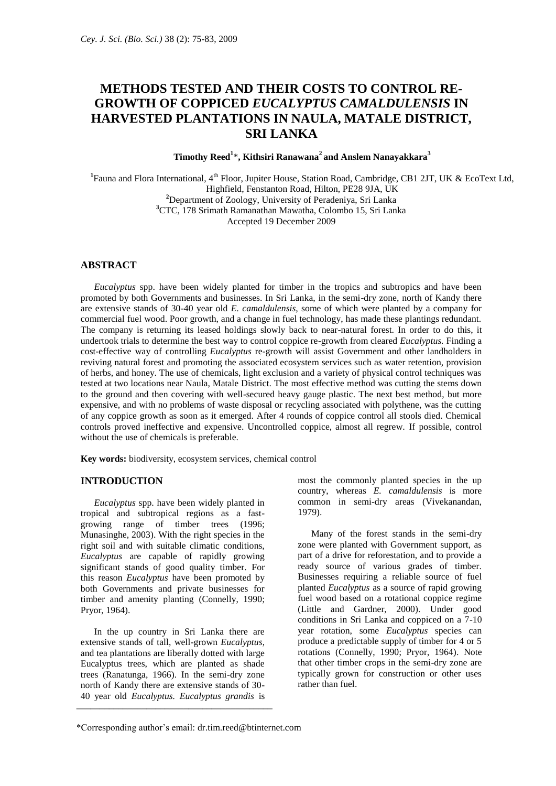# **METHODS TESTED AND THEIR COSTS TO CONTROL RE-GROWTH OF COPPICED** *EUCALYPTUS CAMALDULENSIS* **IN HARVESTED PLANTATIONS IN NAULA, MATALE DISTRICT, SRI LANKA**

# **Timothy Reed<sup>1</sup>** \***, Kithsiri Ranawana<sup>2</sup>and Anslem Nanayakkara<sup>3</sup>**

<sup>1</sup>Fauna and Flora International, 4<sup>th</sup> Floor, Jupiter House, Station Road, Cambridge, CB1 2JT, UK & EcoText Ltd, Highfield, Fenstanton Road, Hilton, PE28 9JA, UK **<sup>2</sup>**Department of Zoology, University of Peradeniya, Sri Lanka **<sup>3</sup>**CTC, 178 Srimath Ramanathan Mawatha, Colombo 15, Sri Lanka Accepted 19 December 2009

# **ABSTRACT**

*Eucalyptus* spp. have been widely planted for timber in the tropics and subtropics and have been promoted by both Governments and businesses. In Sri Lanka, in the semi-dry zone, north of Kandy there are extensive stands of 30-40 year old *E. camaldulensis,* some of which were planted by a company for commercial fuel wood. Poor growth, and a change in fuel technology, has made these plantings redundant. The company is returning its leased holdings slowly back to near-natural forest. In order to do this, it undertook trials to determine the best way to control coppice re-growth from cleared *Eucalyptus.* Finding a cost-effective way of controlling *Eucalyptus* re-growth will assist Government and other landholders in reviving natural forest and promoting the associated ecosystem services such as water retention, provision of herbs, and honey. The use of chemicals, light exclusion and a variety of physical control techniques was tested at two locations near Naula, Matale District. The most effective method was cutting the stems down to the ground and then covering with well-secured heavy gauge plastic. The next best method, but more expensive, and with no problems of waste disposal or recycling associated with polythene, was the cutting of any coppice growth as soon as it emerged. After 4 rounds of coppice control all stools died. Chemical controls proved ineffective and expensive. Uncontrolled coppice, almost all regrew. If possible, control without the use of chemicals is preferable.

**Key words:** biodiversity, ecosystem services, chemical control

## **INTRODUCTION**

*Eucalyptus* spp. have been widely planted in tropical and subtropical regions as a fastgrowing range of timber trees (1996; Munasinghe, 2003). With the right species in the right soil and with suitable climatic conditions, *Eucalyptus* are capable of rapidly growing significant stands of good quality timber. For this reason *Eucalyptus* have been promoted by both Governments and private businesses for timber and amenity planting (Connelly, 1990; Pryor, 1964).

In the up country in Sri Lanka there are extensive stands of tall, well-grown *Eucalyptus*, and tea plantations are liberally dotted with large Eucalyptus trees, which are planted as shade trees (Ranatunga, 1966). In the semi-dry zone north of Kandy there are extensive stands of 30- 40 year old *Eucalyptus. Eucalyptus grandis* is \_\_\_\_\_\_\_\_\_\_\_\_\_\_\_\_\_\_\_\_\_\_\_\_\_\_\_\_\_\_\_\_\_\_\_\_\_\_\_\_\_\_

most the commonly planted species in the up country, whereas *E. camaldulensis* is more common in semi-dry areas (Vivekanandan, 1979).

Many of the forest stands in the semi-dry zone were planted with Government support, as part of a drive for reforestation, and to provide a ready source of various grades of timber. Businesses requiring a reliable source of fuel planted *Eucalyptus* as a source of rapid growing fuel wood based on a rotational coppice regime (Little and Gardner, 2000). Under good conditions in Sri Lanka and coppiced on a 7-10 year rotation, some *Eucalyptus* species can produce a predictable supply of timber for 4 or 5 rotations (Connelly, 1990; Pryor, 1964). Note that other timber crops in the semi-dry zone are typically grown for construction or other uses rather than fuel.

<sup>\*</sup>Corresponding author's email: [dr.tim.reed@btinternet.com](mailto:dr.tim.reed@btinternet.com)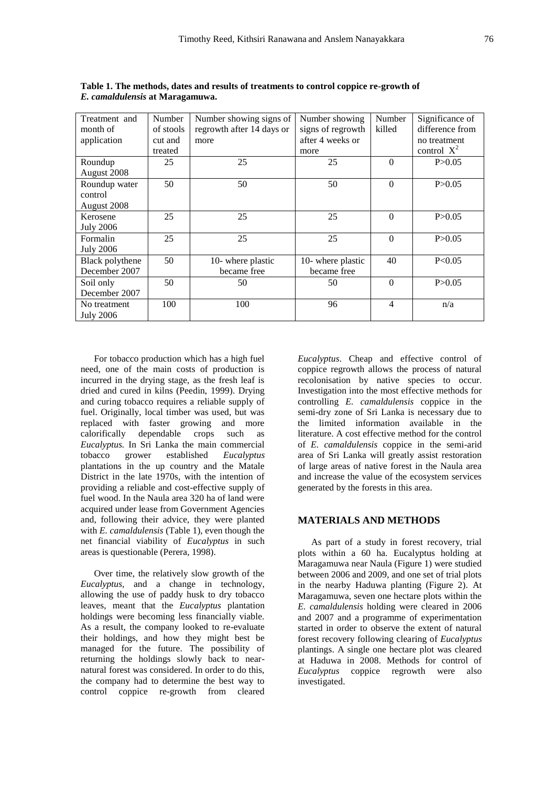| Treatment and<br>month of | Number<br>of stools | Number showing signs of<br>regrowth after 14 days or | Number showing<br>signs of regrowth | Number<br>killed | Significance of<br>difference from |
|---------------------------|---------------------|------------------------------------------------------|-------------------------------------|------------------|------------------------------------|
| application               | cut and             | more                                                 | after 4 weeks or                    |                  | no treatment                       |
|                           | treated             |                                                      | more                                |                  | control $X^2$                      |
| Roundup                   | 25                  | 25                                                   | 25                                  | $\theta$         | P > 0.05                           |
| August 2008               |                     |                                                      |                                     |                  |                                    |
| Roundup water             | 50                  | 50                                                   | 50                                  | $\Omega$         | P > 0.05                           |
| control                   |                     |                                                      |                                     |                  |                                    |
| August 2008               |                     |                                                      |                                     |                  |                                    |
| Kerosene                  | 25                  | 25                                                   | 25                                  | $\Omega$         | P > 0.05                           |
| <b>July 2006</b>          |                     |                                                      |                                     |                  |                                    |
| Formalin                  | 25                  | 25                                                   | 25                                  | $\Omega$         | P > 0.05                           |
| <b>July 2006</b>          |                     |                                                      |                                     |                  |                                    |
| Black polythene           | 50                  | 10- where plastic                                    | 10- where plastic                   | 40               | P < 0.05                           |
| December 2007             |                     | became free                                          | became free                         |                  |                                    |
| Soil only                 | 50                  | 50                                                   | 50                                  | $\Omega$         | P > 0.05                           |
| December 2007             |                     |                                                      |                                     |                  |                                    |
| No treatment              | 100                 | 100                                                  | 96                                  | $\overline{4}$   | n/a                                |
| <b>July 2006</b>          |                     |                                                      |                                     |                  |                                    |

**Table 1. The methods, dates and results of treatments to control coppice re-growth of**  *E. camaldulensis* **at Maragamuwa.**

For tobacco production which has a high fuel need, one of the main costs of production is incurred in the drying stage, as the fresh leaf is dried and cured in kilns (Peedin, 1999). Drying and curing tobacco requires a reliable supply of fuel. Originally, local timber was used, but was replaced with faster growing and more calorifically dependable crops such as *Eucalyptus.* In Sri Lanka the main commercial tobacco grower established *Eucalyptus*  plantations in the up country and the Matale District in the late 1970s, with the intention of providing a reliable and cost-effective supply of fuel wood. In the Naula area 320 ha of land were acquired under lease from Government Agencies and, following their advice, they were planted with *E. camaldulensis* (Table 1), even though the net financial viability of *Eucalyptus* in such areas is questionable (Perera, 1998).

Over time, the relatively slow growth of the *Eucalyptus,* and a change in technology, allowing the use of paddy husk to dry tobacco leaves, meant that the *Eucalyptus* plantation holdings were becoming less financially viable. As a result, the company looked to re-evaluate their holdings, and how they might best be managed for the future. The possibility of returning the holdings slowly back to nearnatural forest was considered. In order to do this, the company had to determine the best way to control coppice re-growth from cleared

*Eucalyptus*. Cheap and effective control of coppice regrowth allows the process of natural recolonisation by native species to occur. Investigation into the most effective methods for controlling *E. camaldulensis* coppice in the semi-dry zone of Sri Lanka is necessary due to the limited information available in the literature. A cost effective method for the control of *E. camaldulensis* coppice in the semi-arid area of Sri Lanka will greatly assist restoration of large areas of native forest in the Naula area and increase the value of the ecosystem services generated by the forests in this area.

## **MATERIALS AND METHODS**

As part of a study in forest recovery, trial plots within a 60 ha. Eucalyptus holding at Maragamuwa near Naula (Figure 1) were studied between 2006 and 2009, and one set of trial plots in the nearby Haduwa planting (Figure 2). At Maragamuwa, seven one hectare plots within the *E. camaldulensis* holding were cleared in 2006 and 2007 and a programme of experimentation started in order to observe the extent of natural forest recovery following clearing of *Eucalyptus*  plantings. A single one hectare plot was cleared at Haduwa in 2008. Methods for control of *Eucalyptus* coppice regrowth were also investigated.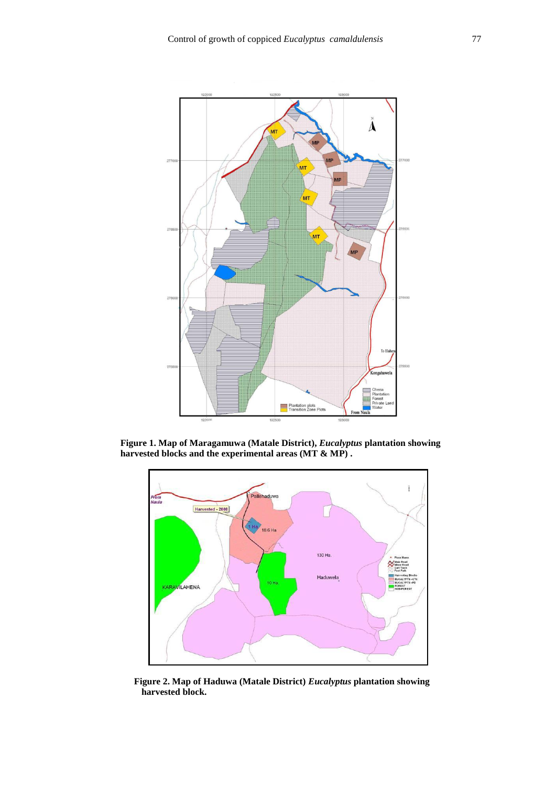

 **Figure 1. Map of Maragamuwa (Matale District),** *Eucalyptus* **plantation showing harvested blocks and the experimental areas (MT & MP) .**



 **Figure 2. Map of Haduwa (Matale District)** *Eucalyptus* **plantation showing harvested block.**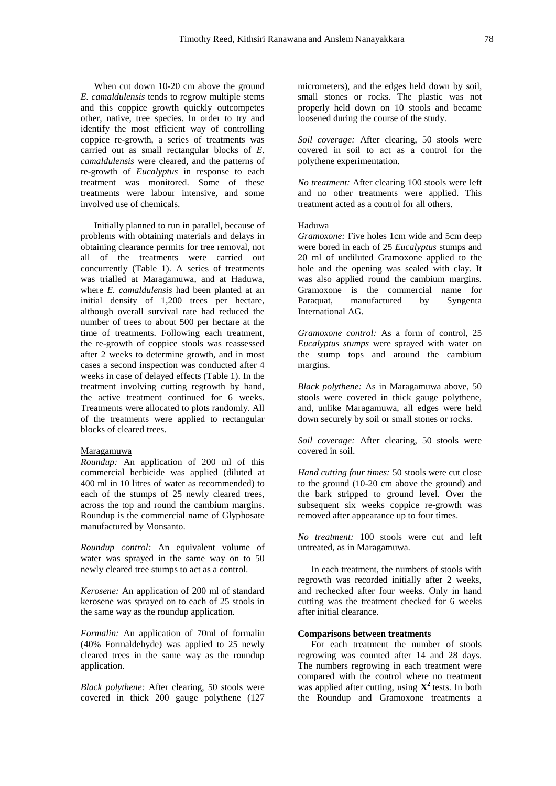When cut down 10-20 cm above the ground *E. camaldulensis* tends to regrow multiple stems and this coppice growth quickly outcompetes other, native, tree species. In order to try and identify the most efficient way of controlling coppice re-growth, a series of treatments was carried out as small rectangular blocks of *E. camaldulensis* were cleared, and the patterns of re-growth of *Eucalyptus* in response to each treatment was monitored. Some of these treatments were labour intensive, and some involved use of chemicals.

Initially planned to run in parallel, because of problems with obtaining materials and delays in obtaining clearance permits for tree removal, not all of the treatments were carried out concurrently (Table 1). A series of treatments was trialled at Maragamuwa, and at Haduwa, where *E. camaldulensis* had been planted at an initial density of 1,200 trees per hectare, although overall survival rate had reduced the number of trees to about 500 per hectare at the time of treatments. Following each treatment, the re-growth of coppice stools was reassessed after 2 weeks to determine growth, and in most cases a second inspection was conducted after 4 weeks in case of delayed effects (Table 1). In the treatment involving cutting regrowth by hand, the active treatment continued for 6 weeks. Treatments were allocated to plots randomly. All of the treatments were applied to rectangular blocks of cleared trees.

## Maragamuwa

*Roundup:* An application of 200 ml of this commercial herbicide was applied (diluted at 400 ml in 10 litres of water as recommended) to each of the stumps of 25 newly cleared trees, across the top and round the cambium margins. Roundup is the commercial name of Glyphosate manufactured by Monsanto.

*Roundup control:* An equivalent volume of water was sprayed in the same way on to 50 newly cleared tree stumps to act as a control.

*Kerosene:* An application of 200 ml of standard kerosene was sprayed on to each of 25 stools in the same way as the roundup application.

*Formalin:* An application of 70ml of formalin (40% Formaldehyde) was applied to 25 newly cleared trees in the same way as the roundup application.

*Black polythene:* After clearing, 50 stools were covered in thick 200 gauge polythene (127 micrometers), and the edges held down by soil, small stones or rocks. The plastic was not properly held down on 10 stools and became loosened during the course of the study.

*Soil coverage:* After clearing, 50 stools were covered in soil to act as a control for the polythene experimentation.

*No treatment:* After clearing 100 stools were left and no other treatments were applied. This treatment acted as a control for all others.

#### Haduwa

*Gramoxone:* Five holes 1cm wide and 5cm deep were bored in each of 25 *Eucalyptus* stumps and 20 ml of undiluted Gramoxone applied to the hole and the opening was sealed with clay. It was also applied round the cambium margins. Gramoxone is the commercial name for Paraquat, manufactured by Syngenta International AG.

*Gramoxone control:* As a form of control, 25 *Eucalyptus stumps* were sprayed with water on the stump tops and around the cambium margins.

*Black polythene:* As in Maragamuwa above, 50 stools were covered in thick gauge polythene, and, unlike Maragamuwa, all edges were held down securely by soil or small stones or rocks.

*Soil coverage:* After clearing, 50 stools were covered in soil.

*Hand cutting four times:* 50 stools were cut close to the ground (10-20 cm above the ground) and the bark stripped to ground level. Over the subsequent six weeks coppice re-growth was removed after appearance up to four times.

*No treatment:* 100 stools were cut and left untreated, as in Maragamuwa.

In each treatment, the numbers of stools with regrowth was recorded initially after 2 weeks, and rechecked after four weeks. Only in hand cutting was the treatment checked for 6 weeks after initial clearance.

#### **Comparisons between treatments**

For each treatment the number of stools regrowing was counted after 14 and 28 days. The numbers regrowing in each treatment were compared with the control where no treatment was applied after cutting, using  $X^2$  tests. In both the Roundup and Gramoxone treatments a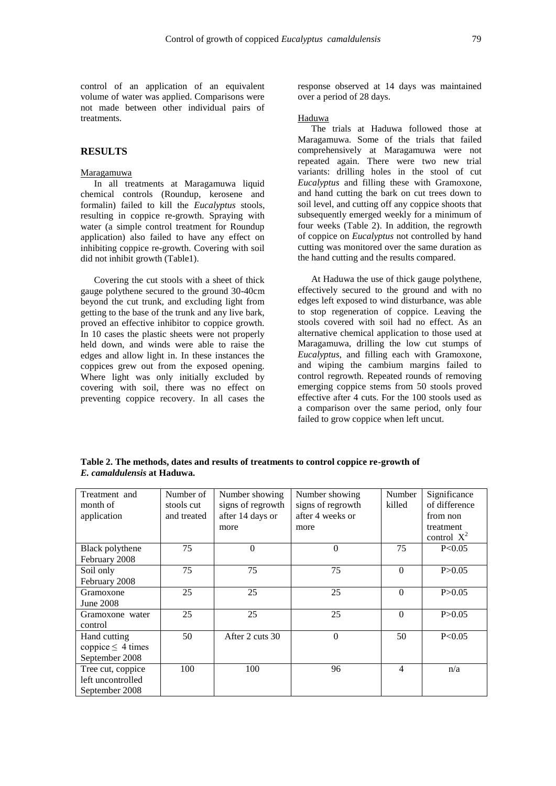control of an application of an equivalent volume of water was applied. Comparisons were not made between other individual pairs of treatments.

# **RESULTS**

#### Maragamuwa

In all treatments at Maragamuwa liquid chemical controls (Roundup, kerosene and formalin) failed to kill the *Eucalyptus* stools, resulting in coppice re-growth. Spraying with water (a simple control treatment for Roundup application) also failed to have any effect on inhibiting coppice re-growth. Covering with soil did not inhibit growth (Table1).

Covering the cut stools with a sheet of thick gauge polythene secured to the ground 30-40cm beyond the cut trunk, and excluding light from getting to the base of the trunk and any live bark, proved an effective inhibitor to coppice growth. In 10 cases the plastic sheets were not properly held down, and winds were able to raise the edges and allow light in. In these instances the coppices grew out from the exposed opening. Where light was only initially excluded by covering with soil, there was no effect on preventing coppice recovery. In all cases the

response observed at 14 days was maintained over a period of 28 days.

### Haduwa

The trials at Haduwa followed those at Maragamuwa. Some of the trials that failed comprehensively at Maragamuwa were not repeated again. There were two new trial variants: drilling holes in the stool of cut *Eucalyptus* and filling these with Gramoxone, and hand cutting the bark on cut trees down to soil level, and cutting off any coppice shoots that subsequently emerged weekly for a minimum of four weeks (Table 2). In addition, the regrowth of coppice on *Eucalyptus* not controlled by hand cutting was monitored over the same duration as the hand cutting and the results compared.

At Haduwa the use of thick gauge polythene, effectively secured to the ground and with no edges left exposed to wind disturbance, was able to stop regeneration of coppice. Leaving the stools covered with soil had no effect. As an alternative chemical application to those used at Maragamuwa, drilling the low cut stumps of *Eucalyptus*, and filling each with Gramoxone, and wiping the cambium margins failed to control regrowth. Repeated rounds of removing emerging coppice stems from 50 stools proved effective after 4 cuts. For the 100 stools used as a comparison over the same period, only four failed to grow coppice when left uncut.

**Table 2. The methods, dates and results of treatments to control coppice re-growth of** *E. camaldulensis* **at Haduwa.**

| Treatment and          | Number of   | Number showing    | Number showing    | Number   | Significance  |
|------------------------|-------------|-------------------|-------------------|----------|---------------|
| month of               | stools cut  | signs of regrowth | signs of regrowth | killed   | of difference |
| application            | and treated | after 14 days or  | after 4 weeks or  |          | from non      |
|                        |             | more              | more              |          | treatment     |
|                        |             |                   |                   |          | control $X^2$ |
| Black polythene        | 75          | $\overline{0}$    | $\theta$          | 75       | P<0.05        |
| February 2008          |             |                   |                   |          |               |
| Soil only              | 75          | 75                | 75                | $\Omega$ | P > 0.05      |
| February 2008          |             |                   |                   |          |               |
| Gramoxone              | 25          | 25                | 25                | $\Omega$ | P > 0.05      |
| June 2008              |             |                   |                   |          |               |
| Gramoxone water        | 25          | 25                | 25                | $\theta$ | P > 0.05      |
| control                |             |                   |                   |          |               |
| Hand cutting           | 50          | After 2 cuts 30   | $\theta$          | 50       | P < 0.05      |
| coppice $\leq 4$ times |             |                   |                   |          |               |
| September 2008         |             |                   |                   |          |               |
| Tree cut, coppice      | 100         | 100               | 96                | 4        | n/a           |
| left uncontrolled      |             |                   |                   |          |               |
| September 2008         |             |                   |                   |          |               |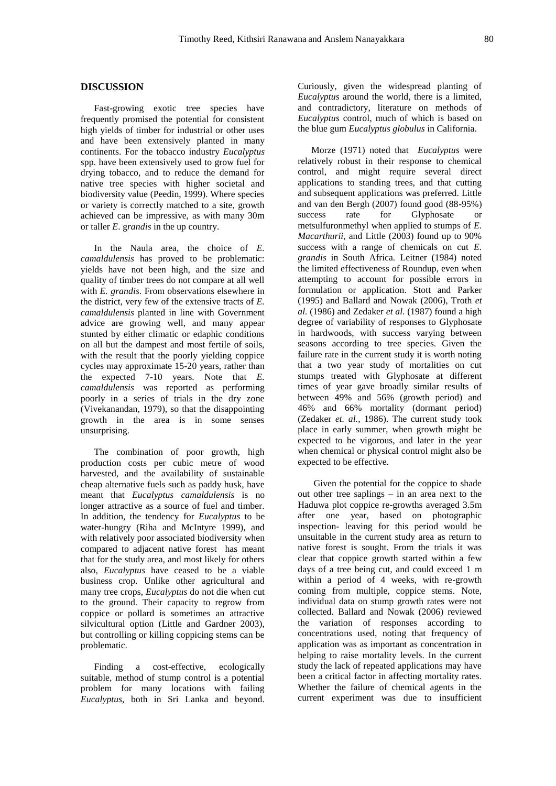# **DISCUSSION**

Fast-growing exotic tree species have frequently promised the potential for consistent high yields of timber for industrial or other uses and have been extensively planted in many continents. For the tobacco industry *Eucalyptus*  spp. have been extensively used to grow fuel for drying tobacco, and to reduce the demand for native tree species with higher societal and biodiversity value (Peedin, 1999). Where species or variety is correctly matched to a site, growth achieved can be impressive, as with many 30m or taller *E*. g*randis* in the up country.

In the Naula area, the choice of *E. camaldulensis* has proved to be problematic: yields have not been high, and the size and quality of timber trees do not compare at all well with *E. grandis*. From observations elsewhere in the district, very few of the extensive tracts of *E. camaldulensis* planted in line with Government advice are growing well, and many appear stunted by either climatic or edaphic conditions on all but the dampest and most fertile of soils, with the result that the poorly yielding coppice cycles may approximate 15-20 years, rather than the expected 7-10 years. Note that *E. camaldulensis* was reported as performing poorly in a series of trials in the dry zone (Vivekanandan, 1979), so that the disappointing growth in the area is in some senses unsurprising.

The combination of poor growth, high production costs per cubic metre of wood harvested, and the availability of sustainable cheap alternative fuels such as paddy husk, have meant that *Eucalyptus camaldulensis* is no longer attractive as a source of fuel and timber. In addition, the tendency for *Eucalyptus* to be water-hungry (Riha and McIntyre 1999), and with relatively poor associated biodiversity when compared to adjacent native forest has meant that for the study area, and most likely for others also, *Eucalyptus* have ceased to be a viable business crop. Unlike other agricultural and many tree crops, *Eucalyptus* do not die when cut to the ground. Their capacity to regrow from coppice or pollard is sometimes an attractive silvicultural option (Little and Gardner 2003), but controlling or killing coppicing stems can be problematic.

Finding a cost-effective, ecologically suitable, method of stump control is a potential problem for many locations with failing *Eucalyptus,* both in Sri Lanka and beyond. Curiously, given the widespread planting of *Eucalyptus* around the world, there is a limited, and contradictory, literature on methods of *Eucalyptus* control, much of which is based on the blue gum *Eucalyptus globulus* in California.

Morze (1971) noted that *Eucalyptus* were relatively robust in their response to chemical control, and might require several direct applications to standing trees, and that cutting and subsequent applications was preferred. Little and van den Bergh (2007) found good (88-95%) success rate for Glyphosate or metsulfuronmethyl when applied to stumps of *E. Macarthurii*, and Little (2003) found up to 90% success with a range of chemicals on cut *E. grandis* in South Africa*.* Leitner (1984) noted the limited effectiveness of Roundup, even when attempting to account for possible errors in formulation or application. Stott and Parker (1995) and Ballard and Nowak (2006), Troth *et al.* (1986) and Zedaker *et al.* (1987) found a high degree of variability of responses to Glyphosate in hardwoods, with success varying between seasons according to tree species. Given the failure rate in the current study it is worth noting that a two year study of mortalities on cut stumps treated with Glyphosate at different times of year gave broadly similar results of between 49% and 56% (growth period) and 46% and 66% mortality (dormant period) (Zedaker *et. al.*, 1986). The current study took place in early summer, when growth might be expected to be vigorous, and later in the year when chemical or physical control might also be expected to be effective.

Given the potential for the coppice to shade out other tree saplings – in an area next to the Haduwa plot coppice re-growths averaged 3.5m after one year, based on photographic inspection- leaving for this period would be unsuitable in the current study area as return to native forest is sought. From the trials it was clear that coppice growth started within a few days of a tree being cut, and could exceed 1 m within a period of 4 weeks, with re-growth coming from multiple, coppice stems. Note, individual data on stump growth rates were not collected. Ballard and Nowak (2006) reviewed the variation of responses according to concentrations used, noting that frequency of application was as important as concentration in helping to raise mortality levels. In the current study the lack of repeated applications may have been a critical factor in affecting mortality rates. Whether the failure of chemical agents in the current experiment was due to insufficient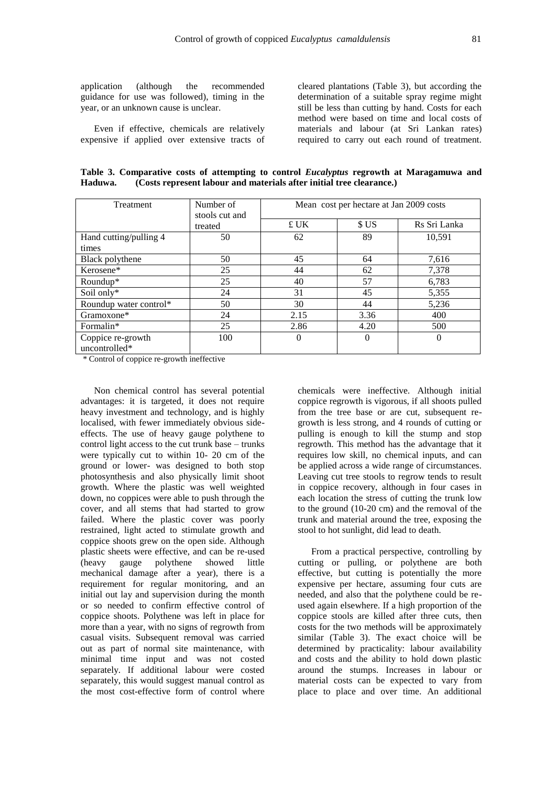application (although the recommended guidance for use was followed), timing in the year, or an unknown cause is unclear.

Even if effective, chemicals are relatively expensive if applied over extensive tracts of

cleared plantations (Table 3), but according the determination of a suitable spray regime might still be less than cutting by hand. Costs for each method were based on time and local costs of materials and labour (at Sri Lankan rates) required to carry out each round of treatment.

**Table 3. Comparative costs of attempting to control** *Eucalyptus* **regrowth at Maragamuwa and Haduwa. (Costs represent labour and materials after initial tree clearance.)**

| <b>Treatment</b>                   | Number of<br>stools cut and | Mean cost per hectare at Jan 2009 costs |          |              |  |
|------------------------------------|-----------------------------|-----------------------------------------|----------|--------------|--|
|                                    | treated                     | £ UK                                    | \$US     | Rs Sri Lanka |  |
| Hand cutting/pulling 4             | 50                          | 62                                      | 89       | 10,591       |  |
| times                              |                             |                                         |          |              |  |
| Black polythene                    | 50                          | 45                                      | 64       | 7,616        |  |
| Kerosene*                          | 25                          | 44                                      | 62       | 7,378        |  |
| $Roundup*$                         | 25                          | 40                                      | 57       | 6,783        |  |
| Soil only*                         | 24                          | 31                                      | 45       | 5,355        |  |
| Roundup water control*             | 50                          | 30                                      | 44       | 5,236        |  |
| Gramoxone*                         | 24                          | 2.15                                    | 3.36     | 400          |  |
| Formalin*                          | 25                          | 2.86                                    | 4.20     | 500          |  |
| Coppice re-growth<br>uncontrolled* | 100                         | $\theta$                                | $\Omega$ | $\theta$     |  |

\* Control of coppice re-growth ineffective

Non chemical control has several potential advantages: it is targeted, it does not require heavy investment and technology, and is highly localised, with fewer immediately obvious sideeffects. The use of heavy gauge polythene to control light access to the cut trunk base – trunks were typically cut to within 10- 20 cm of the ground or lower- was designed to both stop photosynthesis and also physically limit shoot growth. Where the plastic was well weighted down, no coppices were able to push through the cover, and all stems that had started to grow failed. Where the plastic cover was poorly restrained, light acted to stimulate growth and coppice shoots grew on the open side. Although plastic sheets were effective, and can be re-used (heavy gauge polythene showed little mechanical damage after a year), there is a requirement for regular monitoring, and an initial out lay and supervision during the month or so needed to confirm effective control of coppice shoots. Polythene was left in place for more than a year, with no signs of regrowth from casual visits. Subsequent removal was carried out as part of normal site maintenance, with minimal time input and was not costed separately. If additional labour were costed separately, this would suggest manual control as the most cost-effective form of control where

chemicals were ineffective. Although initial coppice regrowth is vigorous, if all shoots pulled from the tree base or are cut, subsequent regrowth is less strong, and 4 rounds of cutting or pulling is enough to kill the stump and stop regrowth. This method has the advantage that it requires low skill, no chemical inputs, and can be applied across a wide range of circumstances. Leaving cut tree stools to regrow tends to result in coppice recovery, although in four cases in each location the stress of cutting the trunk low to the ground (10-20 cm) and the removal of the trunk and material around the tree, exposing the stool to hot sunlight, did lead to death.

From a practical perspective, controlling by cutting or pulling, or polythene are both effective, but cutting is potentially the more expensive per hectare, assuming four cuts are needed, and also that the polythene could be reused again elsewhere. If a high proportion of the coppice stools are killed after three cuts, then costs for the two methods will be approximately similar (Table 3). The exact choice will be determined by practicality: labour availability and costs and the ability to hold down plastic around the stumps. Increases in labour or material costs can be expected to vary from place to place and over time. An additional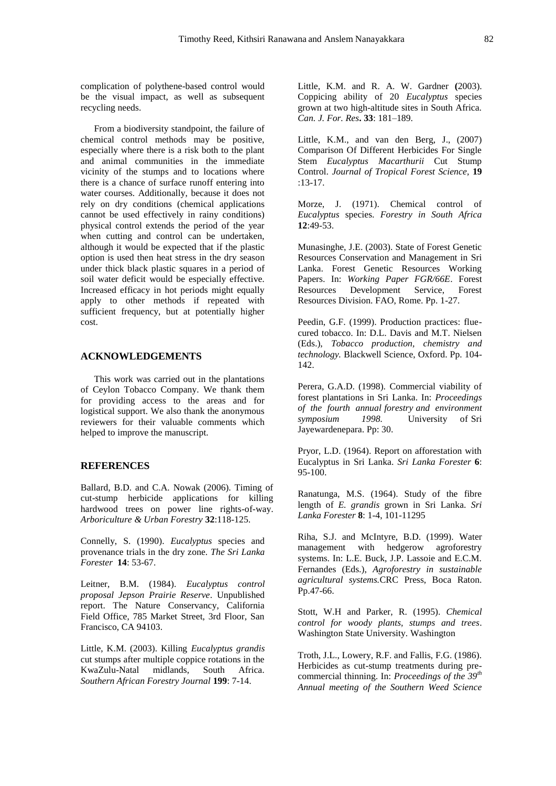complication of polythene-based control would be the visual impact, as well as subsequent recycling needs.

From a biodiversity standpoint, the failure of chemical control methods may be positive, especially where there is a risk both to the plant and animal communities in the immediate vicinity of the stumps and to locations where there is a chance of surface runoff entering into water courses. Additionally, because it does not rely on dry conditions (chemical applications cannot be used effectively in rainy conditions) physical control extends the period of the year when cutting and control can be undertaken, although it would be expected that if the plastic option is used then heat stress in the dry season under thick black plastic squares in a period of soil water deficit would be especially effective. Increased efficacy in hot periods might equally apply to other methods if repeated with sufficient frequency, but at potentially higher cost.

# **ACKNOWLEDGEMENTS**

This work was carried out in the plantations of Ceylon Tobacco Company. We thank them for providing access to the areas and for logistical support. We also thank the anonymous reviewers for their valuable comments which helped to improve the manuscript.

## **REFERENCES**

Ballard, B.D. and C.A. Nowak (2006). Timing of cut-stump herbicide applications for killing hardwood trees on power line rights-of-way. *Arboriculture & Urban Forestry* **32**:118-125.

Connelly, S. (1990). *Eucalyptus* species and provenance trials in the dry zone. *The Sri Lanka Forester* **14**: 53-67.

Leitner, B.M. (1984). *Eucalyptus control proposal Jepson Prairie Reserve*. Unpublished report. The Nature Conservancy, California Field Office, 785 Market Street, 3rd Floor, San Francisco, CA 94103.

Little, K.M. (2003). Killing *Eucalyptus grandis* cut stumps after multiple coppice rotations in the KwaZulu-Natal midlands, South Africa. *Southern African Forestry Journal* **199**: 7-14.

Little, K.M. and R. A. W. Gardner **(**2003). Coppicing ability of 20 *Eucalyptus* species grown at two high-altitude sites in South Africa. *Can. J. For. Res***. 33**: 181–189.

Little, K.M., and van den Berg, J., (2007) Comparison Of Different Herbicides For Single Stem *Eucalyptus Macarthurii* Cut Stump Control. *Journal of Tropical Forest Science,* **19** :13-17.

Morze, J. (1971). Chemical control of *Eucalyptus* species. *Forestry in South Africa* **12**:49-53.

Munasinghe, J.E. (2003). State of Forest Genetic Resources Conservation and Management in Sri Lanka. Forest Genetic Resources Working Papers. In: *Working Paper FGR/66E*. Forest Resources Development Service, Forest Resources Division. FAO, Rome. Pp. 1-27.

Peedin, G.F. (1999). Production practices: fluecured tobacco. In: D.L. Davis and M.T. Nielsen (Eds.), *Tobacco production, chemistry and technology.* Blackwell Science, Oxford. Pp. 104- 142.

Perera, G.A.D. (1998). Commercial viability of forest plantations in Sri Lanka. In: *Proceedings of the fourth annual forestry and environment symposium 1998.* University of Sri Jayewardenepara. Pp: 30.

Pryor, L.D. (1964). Report on afforestation with Eucalyptus in Sri Lanka. *Sri Lanka Forester* **6**: 95-100.

Ranatunga, M.S. (1964). Study of the fibre length of *E. grandis* grown in Sri Lanka. *Sri Lanka Forester* **8**: 1-4, 101-11295

Riha, S.J. and McIntyre, B.D. (1999). Water management with hedgerow agroforestry systems. In: L.E. Buck, J.P. Lassoie and E.C.M. Fernandes (Eds.), *Agroforestry in sustainable agricultural systems.*CRC Press, Boca Raton. Pp.47-66.

Stott, W.H and Parker, R. (1995). *Chemical control for woody plants, stumps and trees*. Washington State University. Washington

Troth, J.L., Lowery, R.F. and Fallis, F.G. (1986). Herbicides as cut-stump treatments during precommercial thinning. In: *Proceedings of the 39th Annual meeting of the Southern Weed Science*